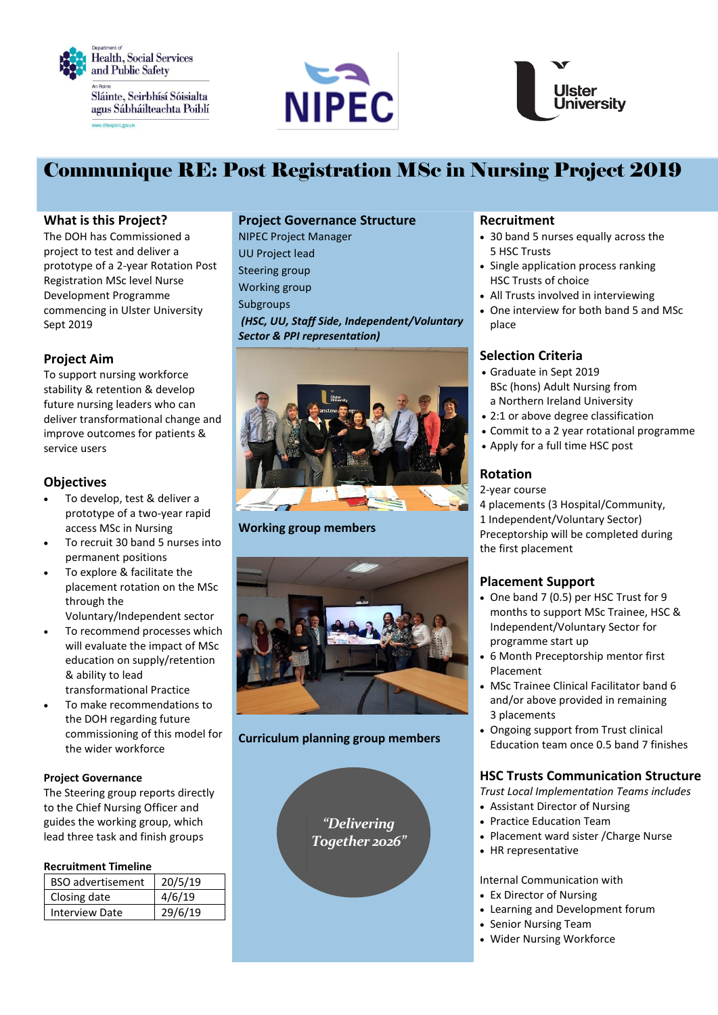





# Communique RE: Post Registration MSc in Nursing Project 2019

## **What is this Project?**

The DOH has Commissioned a project to test and deliver a prototype of a 2-year Rotation Post Registration MSc level Nurse Development Programme commencing in Ulster University Sept 2019

# **Project Aim**

To support nursing workforce stability & retention & develop future nursing leaders who can deliver transformational change and improve outcomes for patients & service users

## **Objectives**

- To develop, test & deliver a prototype of a two-year rapid access MSc in Nursing
- To recruit 30 band 5 nurses into permanent positions
- To explore & facilitate the placement rotation on the MSc through the
	- Voluntary/Independent sector
- To recommend processes which will evaluate the impact of MSc education on supply/retention & ability to lead transformational Practice
- To make recommendations to the DOH regarding future commissioning of this model for the wider workforce

#### **Project Governance**

The Steering group reports directly to the Chief Nursing Officer and guides the working group, which lead three task and finish groups

#### **Recruitment Timeline**

| <b>BSO</b> advertisement | 20/5/19 |
|--------------------------|---------|
| Closing date             | 4/6/19  |
| <b>Interview Date</b>    | 29/6/19 |

# **Project Governance Structure**

NIPEC Project Manager UU Project lead Steering group Working group Subgroups *(HSC, UU, Staff Side, Independent/Voluntary Sector & PPI representation)*



#### **Working group members**



#### **Curriculum planning group members**

*"Delivering Together 2026"*

### **Recruitment**

- 30 band 5 nurses equally across the 5 HSC Trusts
- Single application process ranking HSC Trusts of choice
- All Trusts involved in interviewing
- One interview for both band 5 and MSc place

### **Selection Criteria**

- Graduate in Sept 2019 BSc (hons) Adult Nursing from a Northern Ireland University
- 2:1 or above degree classification
- Commit to a 2 year rotational programme
- Apply for a full time HSC post

# **Rotation**

- 2-year course
- 4 placements (3 Hospital/Community,
- 1 Independent/Voluntary Sector)

Preceptorship will be completed during the first placement

## **Placement Support**

- One band 7 (0.5) per HSC Trust for 9 months to support MSc Trainee, HSC & Independent/Voluntary Sector for programme start up
- 6 Month Preceptorship mentor first Placement
- MSc Trainee Clinical Facilitator band 6 and/or above provided in remaining 3 placements
- Ongoing support from Trust clinical Education team once 0.5 band 7 finishes

# **HSC Trusts Communication Structure**

*Trust Local Implementation Teams includes*

- Assistant Director of Nursing
- Practice Education Team
- Placement ward sister / Charge Nurse
- HR representative

Internal Communication with

- Ex Director of Nursing
- Learning and Development forum
- Senior Nursing Team
- Wider Nursing Workforce